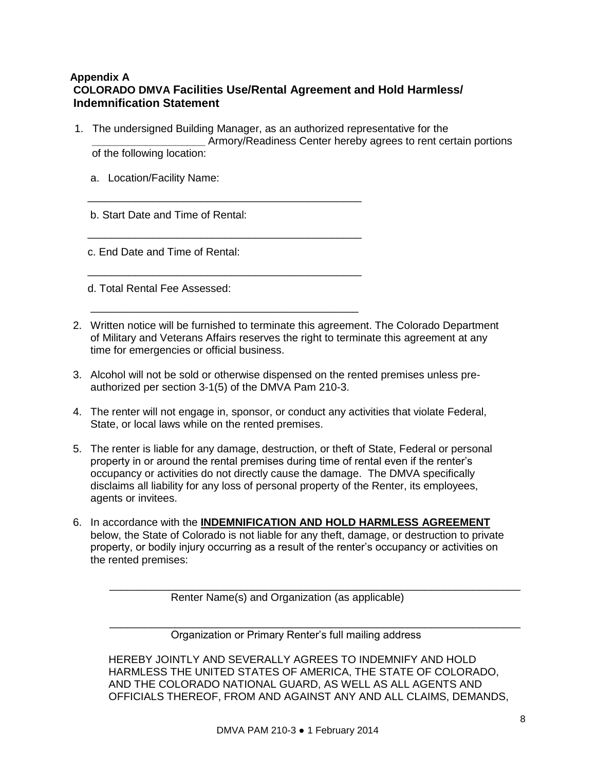## **Appendix A COLORADO DMVA Facilities Use/Rental Agreement and Hold Harmless/ Indemnification Statement**

1. The undersigned Building Manager, as an authorized representative for the

\_\_\_\_\_\_\_\_\_\_\_\_\_\_\_\_\_\_\_\_\_\_\_\_\_\_\_\_\_\_\_\_\_\_\_\_\_\_\_\_\_\_\_\_\_\_

\_\_\_\_\_\_\_\_\_\_\_\_\_\_\_\_\_\_\_\_\_\_\_\_\_\_\_\_\_\_\_\_\_\_\_\_\_\_\_\_\_\_\_\_\_\_

\_\_\_\_\_\_\_\_\_\_\_\_\_\_\_\_\_\_\_\_\_\_\_\_\_\_\_\_\_\_\_\_\_\_\_\_\_\_\_\_\_\_\_\_\_\_

\_\_\_\_\_\_\_\_\_\_\_\_\_\_\_\_\_\_\_\_\_\_\_\_\_\_\_\_\_\_\_\_\_\_\_\_\_\_\_\_\_\_\_\_\_

**\_\_\_\_\_\_\_\_\_\_\_\_\_\_\_\_\_\_\_** Armory/Readiness Center hereby agrees to rent certain portions of the following location:

a. Location/Facility Name:

b. Start Date and Time of Rental:

c. End Date and Time of Rental:

d. Total Rental Fee Assessed:

- 2. Written notice will be furnished to terminate this agreement. The Colorado Department of Military and Veterans Affairs reserves the right to terminate this agreement at any time for emergencies or official business.
- 3. Alcohol will not be sold or otherwise dispensed on the rented premises unless preauthorized per section 3-1(5) of the DMVA Pam 210-3.
- 4. The renter will not engage in, sponsor, or conduct any activities that violate Federal, State, or local laws while on the rented premises.
- 5. The renter is liable for any damage, destruction, or theft of State, Federal or personal property in or around the rental premises during time of rental even if the renter's occupancy or activities do not directly cause the damage. The DMVA specifically disclaims all liability for any loss of personal property of the Renter, its employees, agents or invitees.
- 6. In accordance with the **INDEMNIFICATION AND HOLD HARMLESS AGREEMENT** below, the State of Colorado is not liable for any theft, damage, or destruction to private property, or bodily injury occurring as a result of the renter's occupancy or activities on the rented premises:

Renter Name(s) and Organization (as applicable)

Organization or Primary Renter's full mailing address

HEREBY JOINTLY AND SEVERALLY AGREES TO INDEMNIFY AND HOLD HARMLESS THE UNITED STATES OF AMERICA, THE STATE OF COLORADO, AND THE COLORADO NATIONAL GUARD, AS WELL AS ALL AGENTS AND OFFICIALS THEREOF, FROM AND AGAINST ANY AND ALL CLAIMS, DEMANDS,

\_\_\_\_\_\_\_\_\_\_\_\_\_\_\_\_\_\_\_\_\_\_\_\_\_\_\_\_\_\_\_\_\_\_\_\_\_\_\_\_\_\_\_\_\_\_\_\_\_\_\_\_\_\_\_\_\_\_\_\_\_\_\_\_\_\_\_\_\_

\_\_\_\_\_\_\_\_\_\_\_\_\_\_\_\_\_\_\_\_\_\_\_\_\_\_\_\_\_\_\_\_\_\_\_\_\_\_\_\_\_\_\_\_\_\_\_\_\_\_\_\_\_\_\_\_\_\_\_\_\_\_\_\_\_\_\_\_\_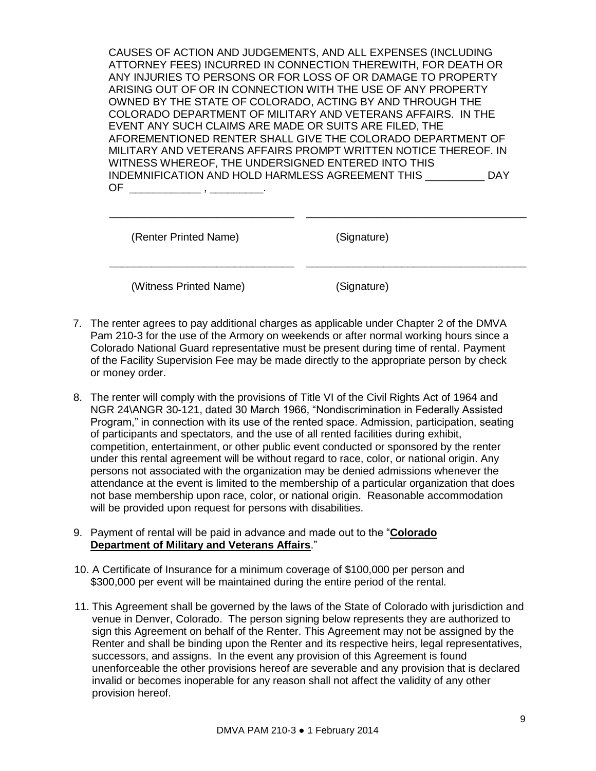CAUSES OF ACTION AND JUDGEMENTS, AND ALL EXPENSES (INCLUDING ATTORNEY FEES) INCURRED IN CONNECTION THEREWITH, FOR DEATH OR ANY INJURIES TO PERSONS OR FOR LOSS OF OR DAMAGE TO PROPERTY ARISING OUT OF OR IN CONNECTION WITH THE USE OF ANY PROPERTY OWNED BY THE STATE OF COLORADO, ACTING BY AND THROUGH THE COLORADO DEPARTMENT OF MILITARY AND VETERANS AFFAIRS. IN THE EVENT ANY SUCH CLAIMS ARE MADE OR SUITS ARE FILED, THE AFOREMENTIONED RENTER SHALL GIVE THE COLORADO DEPARTMENT OF MILITARY AND VETERANS AFFAIRS PROMPT WRITTEN NOTICE THEREOF. IN WITNESS WHEREOF, THE UNDERSIGNED ENTERED INTO THIS INDEMNIFICATION AND HOLD HARMLESS AGREEMENT THIS \_\_\_\_\_\_\_\_\_\_ DAY  $OF \qquad \qquad . \qquad . \qquad .$ 

\_\_\_\_\_\_\_\_\_\_\_\_\_\_\_\_\_\_\_\_\_\_\_\_\_\_\_\_\_\_\_ \_\_\_\_\_\_\_\_\_\_\_\_\_\_\_\_\_\_\_\_\_\_\_\_\_\_\_\_\_\_\_\_\_\_\_\_\_

\_\_\_\_\_\_\_\_\_\_\_\_\_\_\_\_\_\_\_\_\_\_\_\_\_\_\_\_\_\_\_ \_\_\_\_\_\_\_\_\_\_\_\_\_\_\_\_\_\_\_\_\_\_\_\_\_\_\_\_\_\_\_\_\_\_\_\_\_

| (Renter Printed Name) |
|-----------------------|
|-----------------------|

(Signature)

(Witness Printed Name) (Signature)

- 7. The renter agrees to pay additional charges as applicable under Chapter 2 of the DMVA Pam 210-3 for the use of the Armory on weekends or after normal working hours since a Colorado National Guard representative must be present during time of rental. Payment of the Facility Supervision Fee may be made directly to the appropriate person by check or money order.
- 8. The renter will comply with the provisions of Title VI of the Civil Rights Act of 1964 and NGR 24\ANGR 30-121, dated 30 March 1966, "Nondiscrimination in Federally Assisted Program," in connection with its use of the rented space. Admission, participation, seating of participants and spectators, and the use of all rented facilities during exhibit, competition, entertainment, or other public event conducted or sponsored by the renter under this rental agreement will be without regard to race, color, or national origin. Any persons not associated with the organization may be denied admissions whenever the attendance at the event is limited to the membership of a particular organization that does not base membership upon race, color, or national origin. Reasonable accommodation will be provided upon request for persons with disabilities.
- 9. Payment of rental will be paid in advance and made out to the "**Colorado Department of Military and Veterans Affairs**."
- 10. A Certificate of Insurance for a minimum coverage of \$100,000 per person and \$300,000 per event will be maintained during the entire period of the rental.
- 11. This Agreement shall be governed by the laws of the State of Colorado with jurisdiction and venue in Denver, Colorado. The person signing below represents they are authorized to sign this Agreement on behalf of the Renter. This Agreement may not be assigned by the Renter and shall be binding upon the Renter and its respective heirs, legal representatives, successors, and assigns. In the event any provision of this Agreement is found unenforceable the other provisions hereof are severable and any provision that is declared invalid or becomes inoperable for any reason shall not affect the validity of any other provision hereof.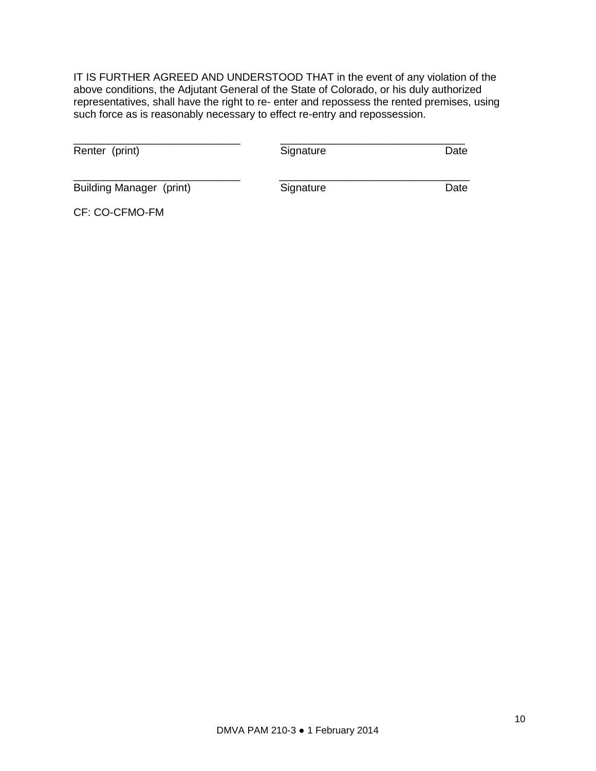IT IS FURTHER AGREED AND UNDERSTOOD THAT in the event of any violation of the above conditions, the Adjutant General of the State of Colorado, or his duly authorized representatives, shall have the right to re- enter and repossess the rented premises, using such force as is reasonably necessary to effect re-entry and repossession.

| Renter (print)           | Signature | Date |
|--------------------------|-----------|------|
| Building Manager (print) | Signature | Date |

CF: CO-CFMO-FM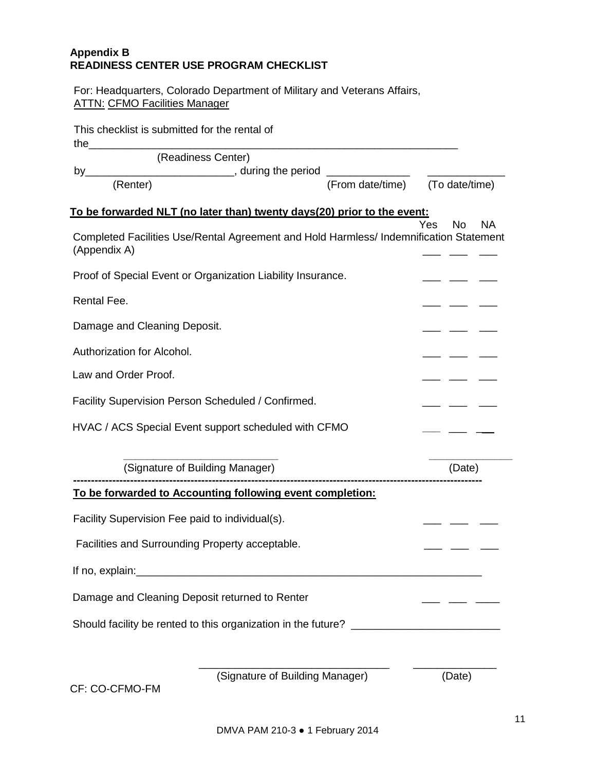## **Appendix B READINESS CENTER USE PROGRAM CHECKLIST**

For: Headquarters, Colorado Department of Military and Veterans Affairs, ATTN: CFMO Facilities Manager

| This checklist is submitted for the rental of                                                          |  |                                |  |  |
|--------------------------------------------------------------------------------------------------------|--|--------------------------------|--|--|
| (Readiness Center)                                                                                     |  |                                |  |  |
|                                                                                                        |  |                                |  |  |
|                                                                                                        |  |                                |  |  |
| To be forwarded NLT (no later than) twenty days(20) prior to the event:                                |  | <b>Yes</b><br><b>NA</b><br>No. |  |  |
| Completed Facilities Use/Rental Agreement and Hold Harmless/ Indemnification Statement<br>(Appendix A) |  |                                |  |  |
| Proof of Special Event or Organization Liability Insurance.                                            |  |                                |  |  |
| Rental Fee.                                                                                            |  |                                |  |  |
| Damage and Cleaning Deposit.                                                                           |  |                                |  |  |
| Authorization for Alcohol.                                                                             |  |                                |  |  |
| Law and Order Proof.                                                                                   |  |                                |  |  |
| Facility Supervision Person Scheduled / Confirmed.                                                     |  |                                |  |  |
| HVAC / ACS Special Event support scheduled with CFMO                                                   |  |                                |  |  |
| (Signature of Building Manager)                                                                        |  | (Date)                         |  |  |
| To be forwarded to Accounting following event completion:                                              |  |                                |  |  |
| Facility Supervision Fee paid to individual(s).                                                        |  |                                |  |  |
| Facilities and Surrounding Property acceptable.                                                        |  |                                |  |  |
|                                                                                                        |  |                                |  |  |
| Damage and Cleaning Deposit returned to Renter                                                         |  |                                |  |  |
| Should facility be rented to this organization in the future? _________________________                |  |                                |  |  |
| (Signature of Building Manager)                                                                        |  | (Date)                         |  |  |
| CF: CO-CFMO-FM                                                                                         |  |                                |  |  |